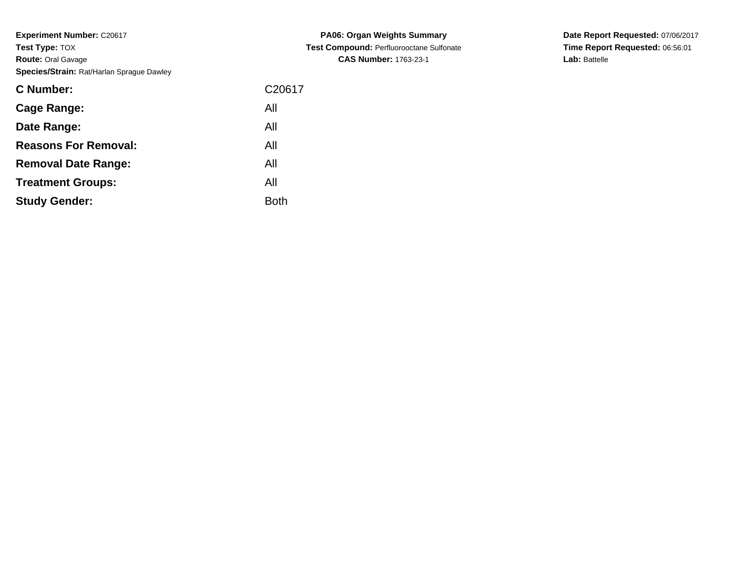**Experiment Number:** C20617**Test Type:** TOX **Route:** Oral Gavage**Species/Strain:** Rat/Harlan Sprague Dawley

| <b>C Number:</b>            | C <sub>20617</sub> |
|-----------------------------|--------------------|
| <b>Cage Range:</b>          | All                |
| Date Range:                 | All                |
| <b>Reasons For Removal:</b> | All                |
| <b>Removal Date Range:</b>  | All                |
| <b>Treatment Groups:</b>    | All                |
| <b>Study Gender:</b>        | <b>Both</b>        |

**PA06: Organ Weights Summary Test Compound:** Perfluorooctane Sulfonate**CAS Number:** 1763-23-1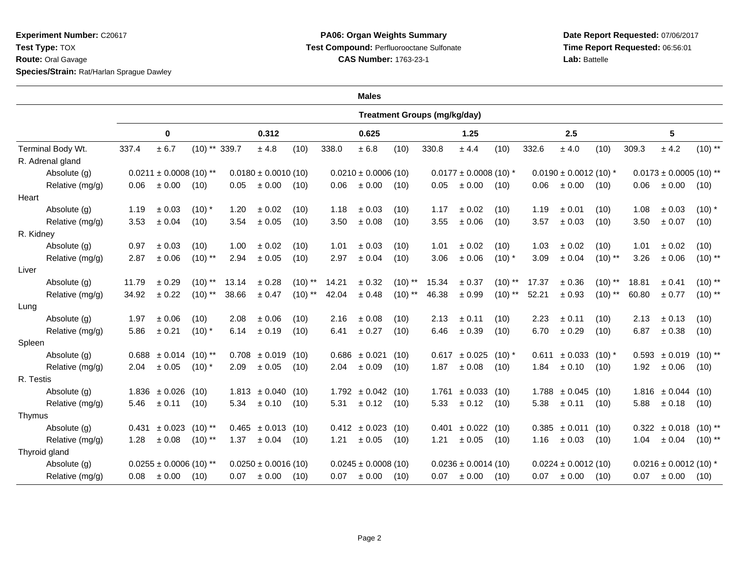**Experiment Number:** C20617**Test Type:** TOX**Route:** Oral Gavage

**Species/Strain:** Rat/Harlan Sprague Dawley

## **PA06: Organ Weights Summary Test Compound:** Perfluorooctane Sulfonate**CAS Number:** 1763-23-1

|                   |       |                                                        |                 |       |                          |           |       | <b>Males</b>             |           |                                     |                         |            |                            |                               |           |                             |                                      |           |  |  |
|-------------------|-------|--------------------------------------------------------|-----------------|-------|--------------------------|-----------|-------|--------------------------|-----------|-------------------------------------|-------------------------|------------|----------------------------|-------------------------------|-----------|-----------------------------|--------------------------------------|-----------|--|--|
|                   |       |                                                        |                 |       |                          |           |       |                          |           | <b>Treatment Groups (mg/kg/day)</b> |                         |            |                            |                               |           |                             |                                      |           |  |  |
|                   |       | 0                                                      |                 |       | 0.312                    |           | 0.625 |                          |           | 1.25                                |                         |            | 2.5                        |                               |           | 5                           |                                      |           |  |  |
| Terminal Body Wt. | 337.4 | $\pm$ 6.7                                              | $(10)$ ** 339.7 |       | $\pm$ 4.8                | (10)      | 338.0 | ± 6.8                    | (10)      | 330.8                               | ± 4.4                   | (10)       | 332.6                      | ± 4.0                         | (10)      | 309.3                       | ± 4.2                                | $(10)$ ** |  |  |
| R. Adrenal gland  |       |                                                        |                 |       |                          |           |       |                          |           |                                     |                         |            |                            |                               |           |                             |                                      |           |  |  |
| Absolute (g)      |       | $0.0211 \pm 0.0008$ (10) **<br>$0.0180 \pm 0.0010(10)$ |                 |       |                          |           |       | $0.0210 \pm 0.0006$ (10) |           | $0.0177 \pm 0.0008$ (10) *          |                         |            | $0.0190 \pm 0.0012$ (10) * |                               |           | $0.0173 \pm 0.0005$ (10) ** |                                      |           |  |  |
| Relative (mg/g)   | 0.06  | $\pm$ 0.00                                             | (10)            | 0.05  | $\pm$ 0.00               | (10)      | 0.06  | ± 0.00                   | (10)      | 0.05                                | $\pm$ 0.00              | (10)       | 0.06                       | ± 0.00                        | (10)      | 0.06                        | $\pm$ 0.00                           | (10)      |  |  |
| Heart             |       |                                                        |                 |       |                          |           |       |                          |           |                                     |                         |            |                            |                               |           |                             |                                      |           |  |  |
| Absolute (g)      | 1.19  | ± 0.03                                                 | $(10)*$         | 1.20  | ± 0.02                   | (10)      | 1.18  | ± 0.03                   | (10)      | 1.17                                | ± 0.02                  | (10)       | 1.19                       | ± 0.01                        | (10)      | 1.08                        | ± 0.03                               | $(10)$ *  |  |  |
| Relative (mg/g)   | 3.53  | ± 0.04                                                 | (10)            | 3.54  | $\pm$ 0.05               | (10)      | 3.50  | $\pm$ 0.08               | (10)      | 3.55                                | ± 0.06                  | (10)       | 3.57                       | ± 0.03                        | (10)      | 3.50                        | $\pm$ 0.07                           | (10)      |  |  |
| R. Kidney         |       |                                                        |                 |       |                          |           |       |                          |           |                                     |                         |            |                            |                               |           |                             |                                      |           |  |  |
| Absolute (g)      | 0.97  | ± 0.03                                                 | (10)            | 1.00  | ± 0.02                   | (10)      | 1.01  | ± 0.03                   | (10)      | 1.01                                | ± 0.02                  | (10)       | 1.03                       | ± 0.02                        | (10)      | 1.01                        | $\pm 0.02$                           | (10)      |  |  |
| Relative (mg/g)   | 2.87  | ± 0.06                                                 | $(10)$ **       | 2.94  | ± 0.05                   | (10)      | 2.97  | ± 0.04                   | (10)      | 3.06                                | $\pm$ 0.06              | $(10)$ *   | 3.09                       | $\pm$ 0.04                    | $(10)$ ** | 3.26                        | $\pm$ 0.06                           | $(10)$ ** |  |  |
| Liver             |       |                                                        |                 |       |                          |           |       |                          |           |                                     |                         |            |                            |                               |           |                             |                                      |           |  |  |
| Absolute (g)      | 11.79 | ± 0.29                                                 | $(10)$ **       | 13.14 | ± 0.28                   | $(10)$ ** | 14.21 | $\pm$ 0.32               | $(10)$ ** | 15.34                               | $\pm$ 0.37              | $(10)$ **  | 17.37                      | $\pm$ 0.36                    | $(10)$ ** | 18.81                       | ± 0.41                               | $(10)$ ** |  |  |
| Relative (mg/g)   | 34.92 | $\pm$ 0.22                                             | $(10)$ **       | 38.66 | ± 0.47                   | $(10)$ ** | 42.04 | ± 0.48                   | $(10)$ ** | 46.38                               | $\pm$ 0.99              | $(10)$ **  | 52.21                      | $\pm$ 0.93                    | $(10)$ ** | 60.80                       | ± 0.77                               | $(10)$ ** |  |  |
| Lung              |       |                                                        |                 |       |                          |           |       |                          |           |                                     |                         |            |                            |                               |           |                             |                                      |           |  |  |
| Absolute (g)      | 1.97  | ± 0.06                                                 | (10)            | 2.08  | ± 0.06                   | (10)      | 2.16  | ± 0.08                   | (10)      | 2.13                                | ± 0.11                  | (10)       | 2.23                       | ± 0.11                        | (10)      | 2.13                        | ± 0.13                               | (10)      |  |  |
| Relative (mg/g)   | 5.86  | $\pm 0.21$                                             | $(10)$ *        | 6.14  | ± 0.19                   | (10)      | 6.41  | ± 0.27                   | (10)      | 6.46                                | ± 0.39                  | (10)       | 6.70                       | ± 0.29                        | (10)      | 6.87                        | $\pm$ 0.38                           | (10)      |  |  |
| Spleen            |       |                                                        |                 |       |                          |           |       |                          |           |                                     |                         |            |                            |                               |           |                             |                                      |           |  |  |
| Absolute (g)      |       | $0.688 \pm 0.014$ (10) **                              |                 |       | $0.708 \pm 0.019$ (10)   |           |       | $0.686 \pm 0.021$        | (10)      | 0.617                               | ± 0.025                 | $(10)$ $*$ | 0.611                      | $\pm$ 0.033 (10) <sup>*</sup> |           |                             | $0.593 \pm 0.019$ (10) **            |           |  |  |
| Relative (mg/g)   | 2.04  | ± 0.05                                                 | $(10)*$         | 2.09  | ± 0.05                   | (10)      | 2.04  | ± 0.09                   | (10)      | 1.87                                | ± 0.08                  | (10)       | 1.84                       | ± 0.10                        | (10)      | 1.92                        | ± 0.06                               | (10)      |  |  |
| R. Testis         |       |                                                        |                 |       |                          |           |       |                          |           |                                     |                         |            |                            |                               |           |                             |                                      |           |  |  |
| Absolute (g)      |       | $1.836 \pm 0.026$                                      | (10)            |       | $1.813 \pm 0.040$ (10)   |           |       | $1.792 \pm 0.042$ (10)   |           | 1.761                               | $\pm$ 0.033 (10)        |            |                            | $1.788 \pm 0.045$             | (10)      |                             | $1.816 \pm 0.044$ (10)               |           |  |  |
| Relative (mg/g)   | 5.46  | $\pm 0.11$                                             | (10)            | 5.34  | $\pm 0.10$               | (10)      | 5.31  | ± 0.12                   | (10)      | 5.33                                | $\pm 0.12$              | (10)       | 5.38                       | $\pm 0.11$                    | (10)      | 5.88                        | ± 0.18                               | (10)      |  |  |
| Thymus            |       |                                                        |                 |       |                          |           |       |                          |           |                                     |                         |            |                            |                               |           |                             |                                      |           |  |  |
| Absolute (g)      |       | $0.431 \pm 0.023$ (10) <sup>**</sup>                   |                 |       | $0.465 \pm 0.013$ (10)   |           |       | $0.412 \pm 0.023$ (10)   |           |                                     | $0.401 \pm 0.022$ (10)  |            |                            | $0.385 \pm 0.011$ (10)        |           |                             | $0.322 \pm 0.018$ (10) <sup>**</sup> |           |  |  |
| Relative (mg/g)   | 1.28  | ± 0.08                                                 | $(10)$ **       | 1.37  | ± 0.04                   | (10)      | 1.21  | ± 0.05                   | (10)      | 1.21                                | ± 0.05                  | (10)       | 1.16                       | ± 0.03                        | (10)      | 1.04                        | ± 0.04                               | (10) **   |  |  |
| Thyroid gland     |       |                                                        |                 |       |                          |           |       |                          |           |                                     |                         |            |                            |                               |           |                             |                                      |           |  |  |
| Absolute (g)      |       | $0.0255 \pm 0.0006$ (10) **                            |                 |       | $0.0250 \pm 0.0016$ (10) |           |       | $0.0245 \pm 0.0008(10)$  |           |                                     | $0.0236 \pm 0.0014(10)$ |            |                            | $0.0224 \pm 0.0012(10)$       |           |                             | $0.0216 \pm 0.0012$ (10) *           |           |  |  |
| Relative (mg/g)   |       | $0.08 \pm 0.00$                                        | (10)            | 0.07  | $\pm 0.00$               | (10)      | 0.07  | $\pm 0.00$ (10)          |           |                                     | $0.07 \pm 0.00$         | (10)       |                            | $0.07 \pm 0.00$               | (10)      |                             | $0.07 \pm 0.00$ (10)                 |           |  |  |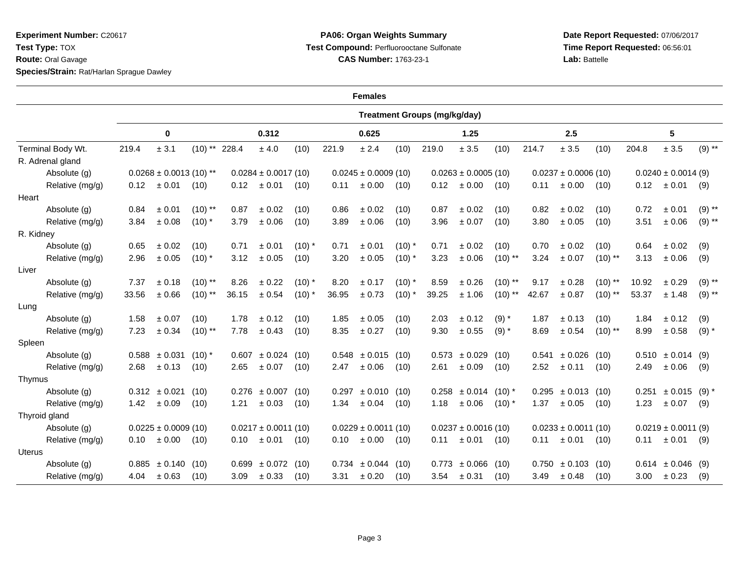**Experiment Number:** C20617**Test Type:** TOX **Route:** Oral Gavage**Species/Strain:** Rat/Harlan Sprague Dawley

## **PA06: Organ Weights Summary Test Compound:** Perfluorooctane Sulfonate**CAS Number:** 1763-23-1

| <b>Females</b>    |                                     |                   |                 |                          |                        |          |                          |                        |          |                          |                          |            |                          |                          |           |                         |                         |          |
|-------------------|-------------------------------------|-------------------|-----------------|--------------------------|------------------------|----------|--------------------------|------------------------|----------|--------------------------|--------------------------|------------|--------------------------|--------------------------|-----------|-------------------------|-------------------------|----------|
|                   | <b>Treatment Groups (mg/kg/day)</b> |                   |                 |                          |                        |          |                          |                        |          |                          |                          |            |                          |                          |           |                         |                         |          |
|                   | 0                                   |                   |                 | 0.312                    |                        |          | 0.625                    |                        |          | 1.25                     |                          |            | 2.5                      |                          |           | 5                       |                         |          |
| Terminal Body Wt. | 219.4                               | ± 3.1             | $(10)$ ** 228.4 |                          | $\pm$ 4.0              | (10)     | 221.9                    | ± 2.4                  | (10)     | 219.0                    | $\pm$ 3.5                | (10)       | 214.7                    | ± 3.5                    | (10)      | 204.8                   | $\pm$ 3.5               | $(9)$ ** |
| R. Adrenal gland  |                                     |                   |                 |                          |                        |          |                          |                        |          |                          |                          |            |                          |                          |           |                         |                         |          |
| Absolute (g)      | $0.0268 \pm 0.0013$ (10) **         |                   |                 | $0.0284 \pm 0.0017(10)$  |                        |          | $0.0245 \pm 0.0009$ (10) |                        |          | $0.0263 \pm 0.0005$ (10) |                          |            |                          | $0.0237 \pm 0.0006$ (10) |           | $0.0240 \pm 0.0014$ (9) |                         |          |
| Relative (mg/g)   | 0.12                                | ± 0.01            | (10)            | 0.12                     | $\pm 0.01$             | (10)     | 0.11                     | ± 0.00                 | (10)     | 0.12                     | ± 0.00                   | (10)       | 0.11                     | ± 0.00                   | (10)      | 0.12                    | ± 0.01                  | (9)      |
| Heart             |                                     |                   |                 |                          |                        |          |                          |                        |          |                          |                          |            |                          |                          |           |                         |                         |          |
| Absolute (g)      | 0.84                                | ± 0.01            | $(10)$ **       | 0.87                     | ± 0.02                 | (10)     | 0.86                     | ± 0.02                 | (10)     | 0.87                     | ± 0.02                   | (10)       | 0.82                     | ± 0.02                   | (10)      | 0.72                    | ± 0.01                  | $(9)$ ** |
| Relative (mg/g)   | 3.84                                | ± 0.08            | $(10)^*$        | 3.79                     | ± 0.06                 | (10)     | 3.89                     | ± 0.06                 | (10)     | 3.96                     | ± 0.07                   | (10)       | 3.80                     | ± 0.05                   | (10)      | 3.51                    | ± 0.06                  | $(9)$ ** |
| R. Kidney         |                                     |                   |                 |                          |                        |          |                          |                        |          |                          |                          |            |                          |                          |           |                         |                         |          |
| Absolute (g)      | 0.65                                | ± 0.02            | (10)            | 0.71                     | ± 0.01                 | $(10)^*$ | 0.71                     | ± 0.01                 | $(10)$ * | 0.71                     | ± 0.02                   | (10)       | 0.70                     | ± 0.02                   | (10)      | 0.64                    | ± 0.02                  | (9)      |
| Relative (mg/g)   | 2.96                                | ± 0.05            | $(10)$ *        | 3.12                     | $\pm$ 0.05             | (10)     | 3.20                     | ± 0.05                 | $(10)$ * | 3.23                     | $\pm$ 0.06               | $(10)$ **  | 3.24                     | $\pm 0.07$               | $(10)$ ** | 3.13                    | ± 0.06                  | (9)      |
| Liver             |                                     |                   |                 |                          |                        |          |                          |                        |          |                          |                          |            |                          |                          |           |                         |                         |          |
| Absolute (g)      | 7.37                                | ± 0.18            | $(10)$ **       | 8.26                     | $\pm$ 0.22             | $(10)$ * | 8.20                     | ± 0.17                 | $(10)$ * | 8.59                     | ± 0.26                   | $(10)$ **  | 9.17                     | $\pm$ 0.28               | $(10)$ ** | 10.92                   | $\pm$ 0.29              | $(9)$ ** |
| Relative (mg/g)   | 33.56                               | ±0.66             | $(10)$ **       | 36.15                    | ± 0.54                 | $(10)$ * | 36.95                    | ± 0.73                 | $(10)$ * | 39.25                    | ± 1.06                   | $(10)$ **  | 42.67                    | $\pm$ 0.87               | $(10)$ ** | 53.37                   | ± 1.48                  | $(9)$ ** |
| Lung              |                                     |                   |                 |                          |                        |          |                          |                        |          |                          |                          |            |                          |                          |           |                         |                         |          |
| Absolute (g)      | 1.58                                | ± 0.07            | (10)            | 1.78                     | $\pm$ 0.12             | (10)     | 1.85                     | ± 0.05                 | (10)     | 2.03                     | ± 0.12                   | $(9) *$    | 1.87                     | ± 0.13                   | (10)      | 1.84                    | ± 0.12                  | (9)      |
| Relative (mg/g)   | 7.23                                | ± 0.34            | $(10)$ **       | 7.78                     | ± 0.43                 | (10)     | 8.35                     | ± 0.27                 | (10)     | 9.30                     | $\pm$ 0.55               | $(9) *$    | 8.69                     | $\pm$ 0.54               | $(10)$ ** | 8.99                    | ± 0.58                  | $(9) *$  |
| Spleen            |                                     |                   |                 |                          |                        |          |                          |                        |          |                          |                          |            |                          |                          |           |                         |                         |          |
| Absolute (g)      |                                     | $0.588 \pm 0.031$ | $(10)^*$        |                          | $0.607 \pm 0.024$      | (10)     |                          | $0.548 \pm 0.015$ (10) |          |                          | $0.573 \pm 0.029$        | (10)       |                          | $0.541 \pm 0.026$        | (10)      |                         | $0.510 \pm 0.014$ (9)   |          |
| Relative (mg/g)   | 2.68                                | ± 0.13            | (10)            | 2.65                     | ± 0.07                 | (10)     | 2.47                     | ± 0.06                 | (10)     | 2.61                     | ± 0.09                   | (10)       | 2.52                     | ± 0.11                   | (10)      | 2.49                    | ± 0.06                  | (9)      |
| Thymus            |                                     |                   |                 |                          |                        |          |                          |                        |          |                          |                          |            |                          |                          |           |                         |                         |          |
| Absolute (g)      |                                     | $0.312 \pm 0.021$ | (10)            |                          | $0.276 \pm 0.007$      | (10)     |                          | $0.297 \pm 0.010$ (10) |          |                          | $0.258 \pm 0.014$ (10) * |            |                          | $0.295 \pm 0.013$ (10)   |           |                         | $0.251 \pm 0.015$ (9) * |          |
| Relative (mg/g)   |                                     | $1.42 \pm 0.09$   | (10)            | 1.21                     | ± 0.03                 | (10)     | 1.34                     | ± 0.04                 | (10)     | 1.18                     | ± 0.06                   | $(10)^{*}$ | 1.37                     | ± 0.05                   | (10)      | 1.23                    | ± 0.07                  | (9)      |
| Thyroid gland     |                                     |                   |                 |                          |                        |          |                          |                        |          |                          |                          |            |                          |                          |           |                         |                         |          |
| Absolute (g)      | $0.0225 \pm 0.0009$ (10)            |                   |                 | $0.0217 \pm 0.0011$ (10) |                        |          | $0.0229 \pm 0.0011$ (10) |                        |          | $0.0237 \pm 0.0016$ (10) |                          |            | $0.0233 \pm 0.0011$ (10) |                          |           | $0.0219 \pm 0.0011$ (9) |                         |          |
| Relative (mg/g)   | 0.10                                | ± 0.00            | (10)            | 0.10                     | $\pm 0.01$             | (10)     | 0.10                     | ± 0.00                 | (10)     | 0.11                     | ± 0.01                   | (10)       | 0.11                     | ± 0.01                   | (10)      | 0.11                    | ± 0.01                  | (9)      |
| <b>Uterus</b>     |                                     |                   |                 |                          |                        |          |                          |                        |          |                          |                          |            |                          |                          |           |                         |                         |          |
| Absolute (g)      |                                     | $0.885 \pm 0.140$ | (10)            |                          | $0.699 \pm 0.072$ (10) |          |                          | $0.734 \pm 0.044$ (10) |          |                          | $0.773 \pm 0.066$        | (10)       |                          | $0.750 \pm 0.103$        | (10)      |                         | $0.614 \pm 0.046$ (9)   |          |
| Relative (mg/g)   | 4.04                                | $\pm 0.63$        | (10)            | 3.09                     | $\pm 0.33$             | (10)     | 3.31                     | $\pm 0.20$             | (10)     | 3.54                     | ± 0.31                   | (10)       | 3.49                     | ± 0.48                   | (10)      | 3.00 <sub>1</sub>       | ± 0.23                  | (9)      |